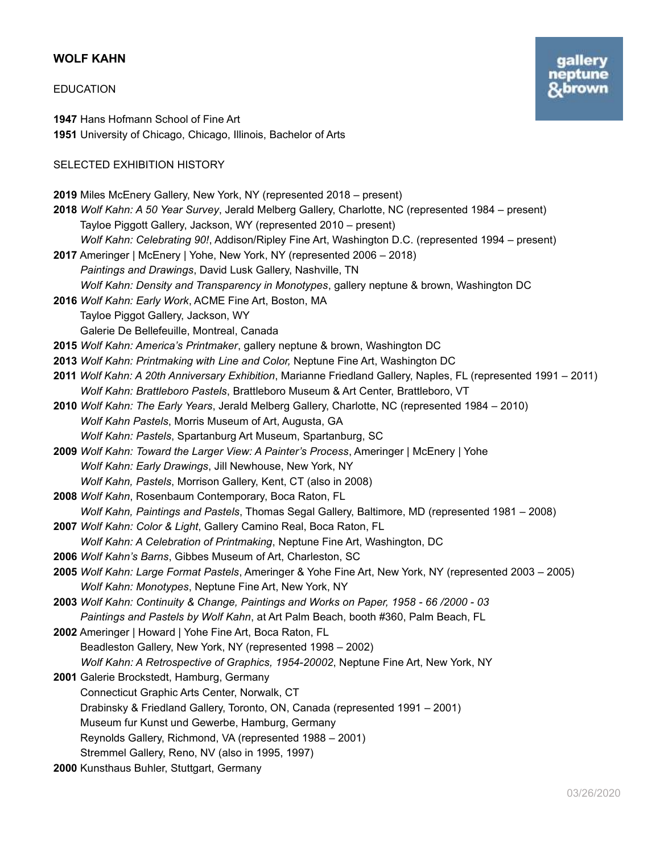# **WOLF KAHN**

# EDUCATION

**1947** Hans Hofmann School of Fine Art **1951** University of Chicago, Chicago, Illinois, Bachelor of Arts

# SELECTED EXHIBITION HISTORY

| 2019 Miles McEnery Gallery, New York, NY (represented 2018 – present)                                           |
|-----------------------------------------------------------------------------------------------------------------|
| 2018 Wolf Kahn: A 50 Year Survey, Jerald Melberg Gallery, Charlotte, NC (represented 1984 – present)            |
| Tayloe Piggott Gallery, Jackson, WY (represented 2010 – present)                                                |
| Wolf Kahn: Celebrating 90!, Addison/Ripley Fine Art, Washington D.C. (represented 1994 – present)               |
| 2017 Ameringer   McEnery   Yohe, New York, NY (represented 2006 - 2018)                                         |
| Paintings and Drawings, David Lusk Gallery, Nashville, TN                                                       |
| Wolf Kahn: Density and Transparency in Monotypes, gallery neptune & brown, Washington DC                        |
| 2016 Wolf Kahn: Early Work, ACME Fine Art, Boston, MA                                                           |
| Tayloe Piggot Gallery, Jackson, WY                                                                              |
| Galerie De Bellefeuille, Montreal, Canada                                                                       |
| 2015 Wolf Kahn: America's Printmaker, gallery neptune & brown, Washington DC                                    |
| 2013 Wolf Kahn: Printmaking with Line and Color, Neptune Fine Art, Washington DC                                |
| 2011 Wolf Kahn: A 20th Anniversary Exhibition, Marianne Friedland Gallery, Naples, FL (represented 1991 - 2011) |
| Wolf Kahn: Brattleboro Pastels, Brattleboro Museum & Art Center, Brattleboro, VT                                |
| 2010 Wolf Kahn: The Early Years, Jerald Melberg Gallery, Charlotte, NC (represented 1984 - 2010)                |
| Wolf Kahn Pastels, Morris Museum of Art, Augusta, GA                                                            |
| Wolf Kahn: Pastels, Spartanburg Art Museum, Spartanburg, SC                                                     |
| 2009 Wolf Kahn: Toward the Larger View: A Painter's Process, Ameringer   McEnery   Yohe                         |
| Wolf Kahn: Early Drawings, Jill Newhouse, New York, NY                                                          |
| Wolf Kahn, Pastels, Morrison Gallery, Kent, CT (also in 2008)                                                   |
| 2008 Wolf Kahn, Rosenbaum Contemporary, Boca Raton, FL                                                          |
| Wolf Kahn, Paintings and Pastels, Thomas Segal Gallery, Baltimore, MD (represented 1981 - 2008)                 |
| 2007 Wolf Kahn: Color & Light, Gallery Camino Real, Boca Raton, FL                                              |
| Wolf Kahn: A Celebration of Printmaking, Neptune Fine Art, Washington, DC                                       |
| 2006 Wolf Kahn's Barns, Gibbes Museum of Art, Charleston, SC                                                    |
| 2005 Wolf Kahn: Large Format Pastels, Ameringer & Yohe Fine Art, New York, NY (represented 2003 - 2005)         |
| Wolf Kahn: Monotypes, Neptune Fine Art, New York, NY                                                            |
| 2003 Wolf Kahn: Continuity & Change, Paintings and Works on Paper, 1958 - 66 /2000 - 03                         |
| Paintings and Pastels by Wolf Kahn, at Art Palm Beach, booth #360, Palm Beach, FL                               |
| 2002 Ameringer   Howard   Yohe Fine Art, Boca Raton, FL                                                         |
| Beadleston Gallery, New York, NY (represented 1998 - 2002)                                                      |
| Wolf Kahn: A Retrospective of Graphics, 1954-20002, Neptune Fine Art, New York, NY                              |
| 2001 Galerie Brockstedt, Hamburg, Germany                                                                       |
| Connecticut Graphic Arts Center, Norwalk, CT                                                                    |
| Drabinsky & Friedland Gallery, Toronto, ON, Canada (represented 1991 - 2001)                                    |
| Museum fur Kunst und Gewerbe, Hamburg, Germany                                                                  |
| Reynolds Gallery, Richmond, VA (represented 1988 - 2001)                                                        |
| Stremmel Gallery, Reno, NV (also in 1995, 1997)                                                                 |
| 2000 Kunsthaus Buhler, Stuttgart, Germany                                                                       |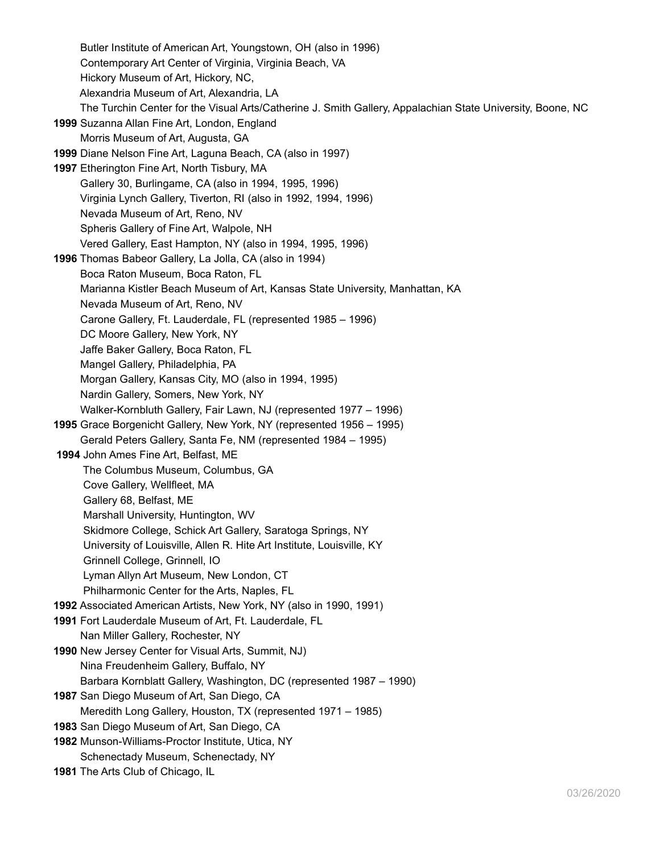Butler Institute of American Art, Youngstown, OH (also in 1996) Contemporary Art Center of Virginia, Virginia Beach, VA Hickory Museum of Art, Hickory, NC, Alexandria Museum of Art, Alexandria, LA The Turchin Center for the Visual Arts/Catherine J. Smith Gallery, Appalachian State University, Boone, NC **1999** Suzanna Allan Fine Art, London, England Morris Museum of Art, Augusta, GA **1999** Diane Nelson Fine Art, Laguna Beach, CA (also in 1997) **1997** Etherington Fine Art, North Tisbury, MA Gallery 30, Burlingame, CA (also in 1994, 1995, 1996) Virginia Lynch Gallery, Tiverton, RI (also in 1992, 1994, 1996) Nevada Museum of Art, Reno, NV Spheris Gallery of Fine Art, Walpole, NH Vered Gallery, East Hampton, NY (also in 1994, 1995, 1996) **1996** Thomas Babeor Gallery, La Jolla, CA (also in 1994) Boca Raton Museum, Boca Raton, FL Marianna Kistler Beach Museum of Art, Kansas State University, Manhattan, KA Nevada Museum of Art, Reno, NV Carone Gallery, Ft. Lauderdale, FL (represented 1985 – 1996) DC Moore Gallery, New York, NY Jaffe Baker Gallery, Boca Raton, FL Mangel Gallery, Philadelphia, PA Morgan Gallery, Kansas City, MO (also in 1994, 1995) Nardin Gallery, Somers, New York, NY Walker-Kornbluth Gallery, Fair Lawn, NJ (represented 1977 – 1996) **1995** Grace Borgenicht Gallery, New York, NY (represented 1956 – 1995) Gerald Peters Gallery, Santa Fe, NM (represented 1984 – 1995) **1994** John Ames Fine Art, Belfast, ME The Columbus Museum, Columbus, GA Cove Gallery, Wellfleet, MA Gallery 68, Belfast, ME Marshall University, Huntington, WV Skidmore College, Schick Art Gallery, Saratoga Springs, NY University of Louisville, Allen R. Hite Art Institute, Louisville, KY Grinnell College, Grinnell, IO Lyman Allyn Art Museum, New London, CT Philharmonic Center for the Arts, Naples, FL **1992** Associated American Artists, New York, NY (also in 1990, 1991) **1991** Fort Lauderdale Museum of Art, Ft. Lauderdale, FL Nan Miller Gallery, Rochester, NY **1990** New Jersey Center for Visual Arts, Summit, NJ) Nina Freudenheim Gallery, Buffalo, NY Barbara Kornblatt Gallery, Washington, DC (represented 1987 – 1990) **1987** San Diego Museum of Art, San Diego, CA Meredith Long Gallery, Houston, TX (represented 1971 – 1985) **1983** San Diego Museum of Art, San Diego, CA **1982** Munson-Williams-Proctor Institute, Utica, NY Schenectady Museum, Schenectady, NY

**1981** The Arts Club of Chicago, IL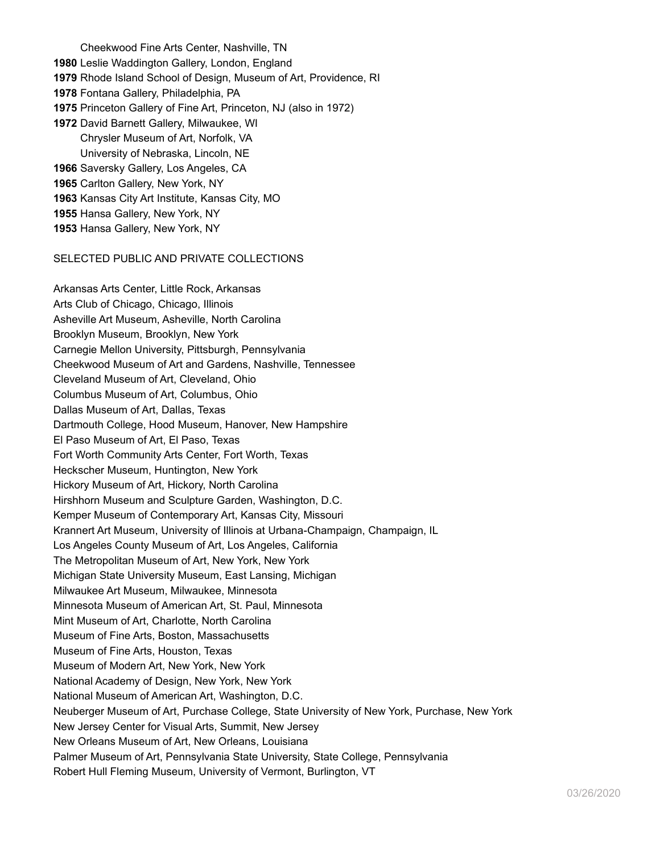Cheekwood Fine Arts Center, Nashville, TN Leslie Waddington Gallery, London, England Rhode Island School of Design, Museum of Art, Providence, RI Fontana Gallery, Philadelphia, PA Princeton Gallery of Fine Art, Princeton, NJ (also in 1972) David Barnett Gallery, Milwaukee, WI Chrysler Museum of Art, Norfolk, VA University of Nebraska, Lincoln, NE Saversky Gallery, Los Angeles, CA Carlton Gallery, New York, NY Kansas City Art Institute, Kansas City, MO Hansa Gallery, New York, NY Hansa Gallery, New York, NY

#### SELECTED PUBLIC AND PRIVATE COLLECTIONS

Arkansas Arts Center, Little Rock, Arkansas Arts Club of Chicago, Chicago, Illinois Asheville Art Museum, Asheville, North Carolina Brooklyn Museum, Brooklyn, New York Carnegie Mellon University, Pittsburgh, Pennsylvania Cheekwood Museum of Art and Gardens, Nashville, Tennessee Cleveland Museum of Art, Cleveland, Ohio Columbus Museum of Art, Columbus, Ohio Dallas Museum of Art, Dallas, Texas Dartmouth College, Hood Museum, Hanover, New Hampshire El Paso Museum of Art, El Paso, Texas Fort Worth Community Arts Center, Fort Worth, Texas Heckscher Museum, Huntington, New York Hickory Museum of Art, Hickory, North Carolina Hirshhorn Museum and Sculpture Garden, Washington, D.C. Kemper Museum of Contemporary Art, Kansas City, Missouri Krannert Art Museum, University of Illinois at Urbana-Champaign, Champaign, IL Los Angeles County Museum of Art, Los Angeles, California The Metropolitan Museum of Art, New York, New York Michigan State University Museum, East Lansing, Michigan Milwaukee Art Museum, Milwaukee, Minnesota Minnesota Museum of American Art, St. Paul, Minnesota Mint Museum of Art, Charlotte, North Carolina Museum of Fine Arts, Boston, Massachusetts Museum of Fine Arts, Houston, Texas Museum of Modern Art, New York, New York National Academy of Design, New York, New York National Museum of American Art, Washington, D.C. Neuberger Museum of Art, Purchase College, State University of New York, Purchase, New York New Jersey Center for Visual Arts, Summit, New Jersey New Orleans Museum of Art, New Orleans, Louisiana Palmer Museum of Art, Pennsylvania State University, State College, Pennsylvania Robert Hull Fleming Museum, University of Vermont, Burlington, VT